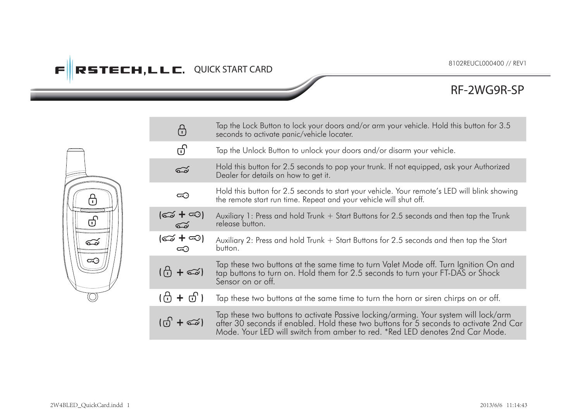# **FIRSTECH, LLC. QUICK START CARD**

## **RF-2WG9R-SP**

|  | ⊕              | Tap the Lock Button to lock your doors and/or arm your vehicle. Hold this button for 3.5<br>seconds to activate panic/vehicle locater.                                                                                                                       |
|--|----------------|--------------------------------------------------------------------------------------------------------------------------------------------------------------------------------------------------------------------------------------------------------------|
|  | ගි             | Tap the Unlock Button to unlock your doors and/or disarm your vehicle.                                                                                                                                                                                       |
|  | డ              | Hold this button for 2.5 seconds to pop your trunk. If not equipped, ask your Authorized<br>Dealer for details on how to get it.                                                                                                                             |
|  | ∞              | Hold this button for 2.5 seconds to start your vehicle. Your remote's LED will blink showing<br>the remote start run time. Repeat and your vehicle will shut off.                                                                                            |
|  | (ದು + ಸಾ)<br>ಮ | Auxiliary 1: Press and hold Trunk + Start Buttons for 2.5 seconds and then tap the Trunk<br>release button.                                                                                                                                                  |
|  | (ඏ + ∞)<br>ౚ   | Auxiliary 2: Press and hold Trunk + Start Buttons for 2.5 seconds and then tap the Start<br>button.                                                                                                                                                          |
|  | (ලි + ක)       | Tap these two buttons at the same time to turn Valet Mode off. Turn Ignition On and<br>tap buttons to turn on. Hold them for 2.5 seconds to turn your FT-DAS or Shock<br>Sensor on or off.                                                                   |
|  | (f) + ਰੀ )     | Tap these two buttons at the same time to turn the horn or siren chirps on or off.                                                                                                                                                                           |
|  |                | Tap these two buttons to activate Passive locking/arming. Your system will lock/arm<br>after 30 seconds if enabled. Hold these two buttons for 5 seconds to activate 2nd Car<br>Mode. Your LED will switch from amber to red. *Red LED denotes 2nd Car Mode. |